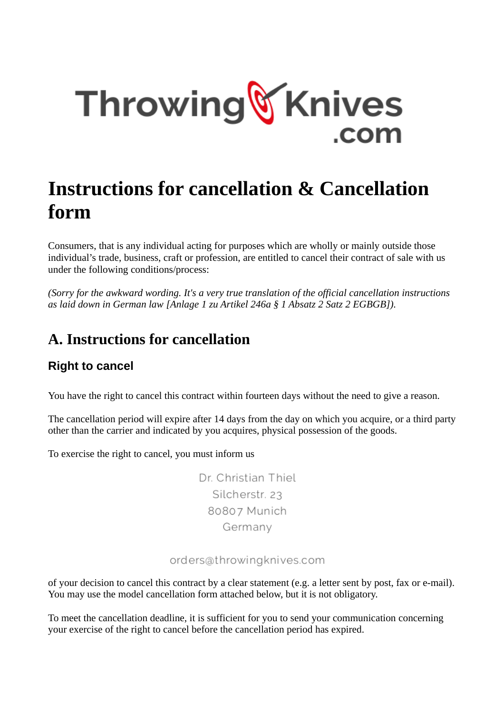

# **Instructions for cancellation & Cancellation form**

Consumers, that is any individual acting for purposes which are wholly or mainly outside those individual's trade, business, craft or profession, are entitled to cancel their contract of sale with us under the following conditions/process:

*(Sorry for the awkward wording. It's a very true translation of the official cancellation instructions as laid down in German law [Anlage 1 zu Artikel 246a § 1 Absatz 2 Satz 2 EGBGB]).*

# **A. Instructions for cancellation**

### **Right to cancel**

You have the right to cancel this contract within fourteen days without the need to give a reason.

The cancellation period will expire after 14 days from the day on which you acquire, or a third party other than the carrier and indicated by you acquires, physical possession of the goods.

To exercise the right to cancel, you must inform us

Dr. Christian Thiel Silcherstr. 23 80807 Munich Germany

#### orders@throwingknives.com

of your decision to cancel this contract by a clear statement (e.g. a letter sent by post, fax or e-mail). You may use the model cancellation form attached below, but it is not obligatory.

To meet the cancellation deadline, it is sufficient for you to send your communication concerning your exercise of the right to cancel before the cancellation period has expired.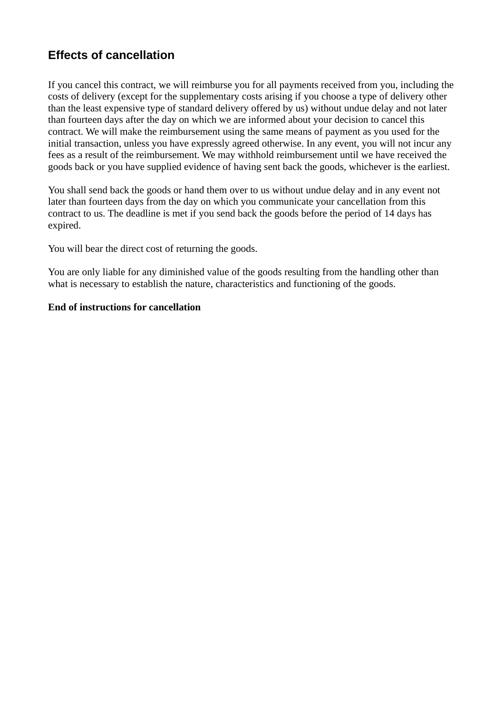### **Effects of cancellation**

If you cancel this contract, we will reimburse you for all payments received from you, including the costs of delivery (except for the supplementary costs arising if you choose a type of delivery other than the least expensive type of standard delivery offered by us) without undue delay and not later than fourteen days after the day on which we are informed about your decision to cancel this contract. We will make the reimbursement using the same means of payment as you used for the initial transaction, unless you have expressly agreed otherwise. In any event, you will not incur any fees as a result of the reimbursement. We may withhold reimbursement until we have received the goods back or you have supplied evidence of having sent back the goods, whichever is the earliest.

You shall send back the goods or hand them over to us without undue delay and in any event not later than fourteen days from the day on which you communicate your cancellation from this contract to us. The deadline is met if you send back the goods before the period of 14 days has expired.

You will bear the direct cost of returning the goods.

You are only liable for any diminished value of the goods resulting from the handling other than what is necessary to establish the nature, characteristics and functioning of the goods.

#### **End of instructions for cancellation**